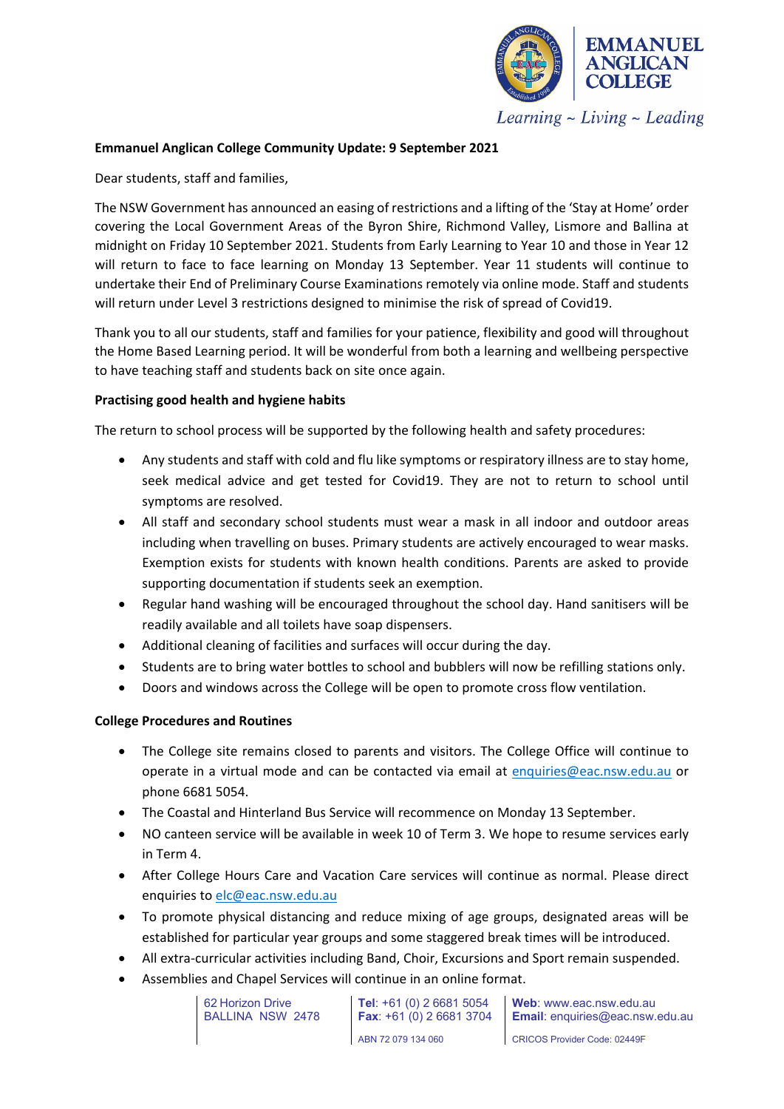

Learning  $\sim$  Living  $\sim$  Leading

## **Emmanuel Anglican College Community Update: 9 September 2021**

Dear students, staff and families,

The NSW Government has announced an easing of restrictions and a lifting of the 'Stay at Home' order covering the Local Government Areas of the Byron Shire, Richmond Valley, Lismore and Ballina at midnight on Friday 10 September 2021. Students from Early Learning to Year 10 and those in Year 12 will return to face to face learning on Monday 13 September. Year 11 students will continue to undertake their End of Preliminary Course Examinations remotely via online mode. Staff and students will return under Level 3 restrictions designed to minimise the risk of spread of Covid19.

Thank you to all our students, staff and families for your patience, flexibility and good will throughout the Home Based Learning period. It will be wonderful from both a learning and wellbeing perspective to have teaching staff and students back on site once again.

## **Practising good health and hygiene habits**

The return to school process will be supported by the following health and safety procedures:

- Any students and staff with cold and flu like symptoms or respiratory illness are to stay home, seek medical advice and get tested for Covid19. They are not to return to school until symptoms are resolved.
- All staff and secondary school students must wear a mask in all indoor and outdoor areas including when travelling on buses. Primary students are actively encouraged to wear masks. Exemption exists for students with known health conditions. Parents are asked to provide supporting documentation if students seek an exemption.
- Regular hand washing will be encouraged throughout the school day. Hand sanitisers will be readily available and all toilets have soap dispensers.
- Additional cleaning of facilities and surfaces will occur during the day.
- Students are to bring water bottles to school and bubblers will now be refilling stations only.
- Doors and windows across the College will be open to promote cross flow ventilation.

# **College Procedures and Routines**

- The College site remains closed to parents and visitors. The College Office will continue to operate in a virtual mode and can be contacted via email at [enquiries@eac.nsw.edu.au](mailto:enquiries@eac.nsw.edu.au) or phone 6681 5054.
- The Coastal and Hinterland Bus Service will recommence on Monday 13 September.
- NO canteen service will be available in week 10 of Term 3. We hope to resume services early in Term 4.
- After College Hours Care and Vacation Care services will continue as normal. Please direct enquiries to [elc@eac.nsw.edu.au](mailto:elc@eac.nsw.edu.au)
- To promote physical distancing and reduce mixing of age groups, designated areas will be established for particular year groups and some staggered break times will be introduced.
- All extra-curricular activities including Band, Choir, Excursions and Sport remain suspended.
- Assemblies and Chapel Services will continue in an online format.

62 Horizon Drive BALLINA NSW 2478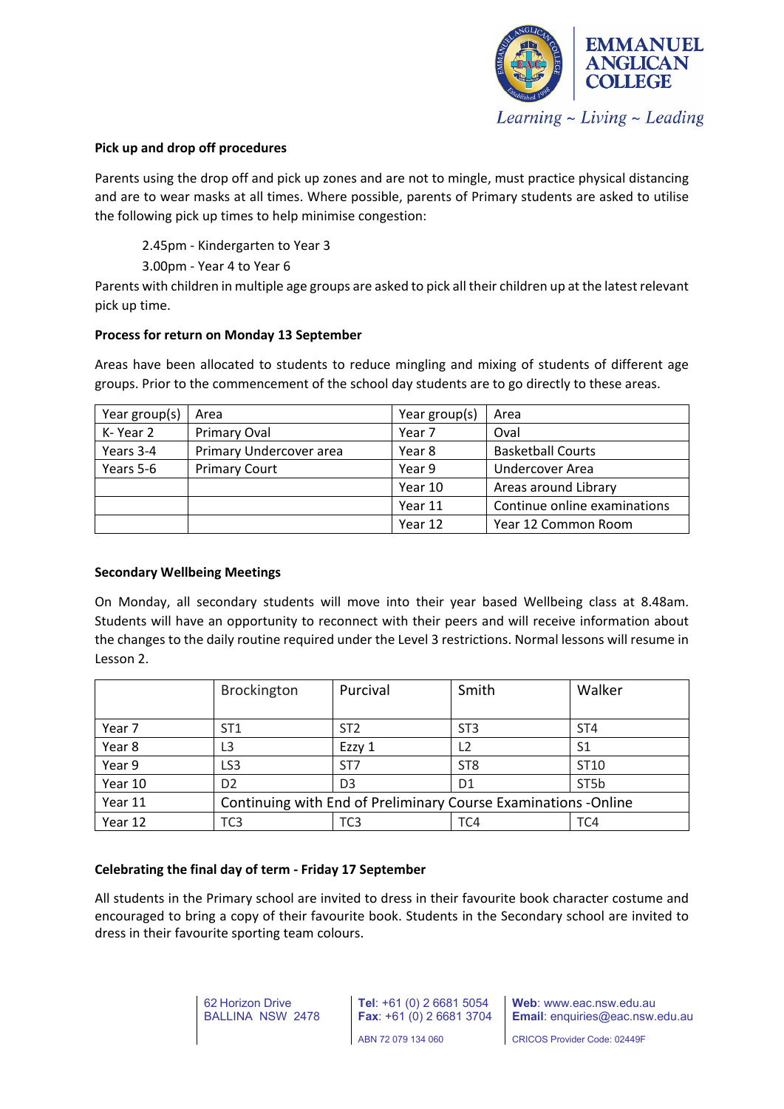

### **Pick up and drop off procedures**

Parents using the drop off and pick up zones and are not to mingle, must practice physical distancing and are to wear masks at all times. Where possible, parents of Primary students are asked to utilise the following pick up times to help minimise congestion:

2.45pm - Kindergarten to Year 3

3.00pm - Year 4 to Year 6

Parents with children in multiple age groups are asked to pick all their children up at the latest relevant pick up time.

#### **Process for return on Monday 13 September**

Areas have been allocated to students to reduce mingling and mixing of students of different age groups. Prior to the commencement of the school day students are to go directly to these areas.

| Year group(s) | Area                    | Year group(s)     | Area                         |  |
|---------------|-------------------------|-------------------|------------------------------|--|
| K-Year 2      | Primary Oval            | Year <sub>7</sub> | Oval                         |  |
| Years 3-4     | Primary Undercover area | Year 8            | <b>Basketball Courts</b>     |  |
| Years 5-6     | <b>Primary Court</b>    | Year 9            | Undercover Area              |  |
|               |                         | Year 10           | Areas around Library         |  |
|               |                         | Year 11           | Continue online examinations |  |
|               |                         | Year 12           | Year 12 Common Room          |  |

#### **Secondary Wellbeing Meetings**

On Monday, all secondary students will move into their year based Wellbeing class at 8.48am. Students will have an opportunity to reconnect with their peers and will receive information about the changes to the daily routine required under the Level 3 restrictions. Normal lessons will resume in Lesson 2.

|         | <b>Brockington</b>                                              | Purcival        | Smith           | Walker          |  |
|---------|-----------------------------------------------------------------|-----------------|-----------------|-----------------|--|
| Year 7  | ST <sub>1</sub>                                                 | ST <sub>2</sub> | ST <sub>3</sub> | ST <sub>4</sub> |  |
| Year 8  | L <sub>3</sub>                                                  | Ezzy 1          | L <sub>2</sub>  | S <sub>1</sub>  |  |
| Year 9  | LS <sub>3</sub>                                                 | ST <sub>7</sub> | ST <sub>8</sub> | ST10            |  |
| Year 10 | D <sub>2</sub>                                                  | D <sub>3</sub>  | D <sub>1</sub>  | ST5b            |  |
| Year 11 | Continuing with End of Preliminary Course Examinations - Online |                 |                 |                 |  |
| Year 12 | TC <sub>3</sub>                                                 | TC <sub>3</sub> | TC <sub>4</sub> | TC4             |  |

# **Celebrating the final day of term - Friday 17 September**

All students in the Primary school are invited to dress in their favourite book character costume and encouraged to bring a copy of their favourite book. Students in the Secondary school are invited to dress in their favourite sporting team colours.

> 62 Horizon Drive BALLINA NSW 2478

**Tel**: +61 (0) 2 6681 5054 **Fax**: +61 (0) 2 6681 3704 ABN 72 079 134 060